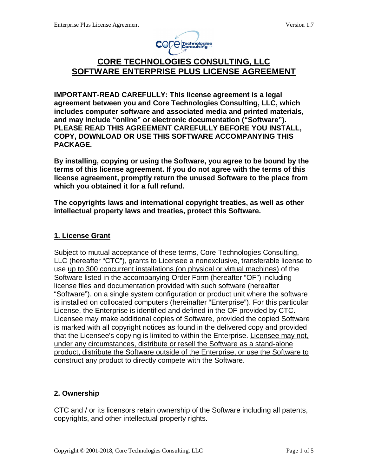

# **CORE TECHNOLOGIES CONSULTING, LLC SOFTWARE ENTERPRISE PLUS LICENSE AGREEMENT**

**IMPORTANT-READ CAREFULLY: This license agreement is a legal agreement between you and Core Technologies Consulting, LLC, which includes computer software and associated media and printed materials, and may include "online" or electronic documentation ("Software"). PLEASE READ THIS AGREEMENT CAREFULLY BEFORE YOU INSTALL, COPY, DOWNLOAD OR USE THIS SOFTWARE ACCOMPANYING THIS PACKAGE.** 

**By installing, copying or using the Software, you agree to be bound by the terms of this license agreement. If you do not agree with the terms of this license agreement, promptly return the unused Software to the place from which you obtained it for a full refund.** 

**The copyrights laws and international copyright treaties, as well as other intellectual property laws and treaties, protect this Software.** 

## **1. License Grant**

Subject to mutual acceptance of these terms, Core Technologies Consulting, LLC (hereafter "CTC"), grants to Licensee a nonexclusive, transferable license to use up to 300 concurrent installations (on physical or virtual machines) of the Software listed in the accompanying Order Form (hereafter "OF") including license files and documentation provided with such software (hereafter "Software"), on a single system configuration or product unit where the software is installed on collocated computers (hereinafter "Enterprise"). For this particular License, the Enterprise is identified and defined in the OF provided by CTC. Licensee may make additional copies of Software, provided the copied Software is marked with all copyright notices as found in the delivered copy and provided that the Licensee's copying is limited to within the Enterprise. Licensee may not, under any circumstances, distribute or resell the Software as a stand-alone product, distribute the Software outside of the Enterprise, or use the Software to construct any product to directly compete with the Software.

# **2. Ownership**

CTC and / or its licensors retain ownership of the Software including all patents, copyrights, and other intellectual property rights.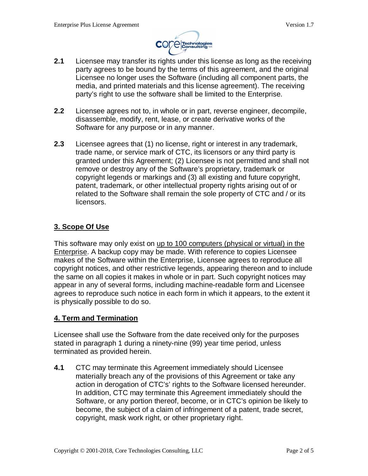

- **2.1** Licensee may transfer its rights under this license as long as the receiving party agrees to be bound by the terms of this agreement, and the original Licensee no longer uses the Software (including all component parts, the media, and printed materials and this license agreement). The receiving party's right to use the software shall be limited to the Enterprise.
- **2.2** Licensee agrees not to, in whole or in part, reverse engineer, decompile, disassemble, modify, rent, lease, or create derivative works of the Software for any purpose or in any manner.
- **2.3** Licensee agrees that (1) no license, right or interest in any trademark, trade name, or service mark of CTC, its licensors or any third party is granted under this Agreement; (2) Licensee is not permitted and shall not remove or destroy any of the Software's proprietary, trademark or copyright legends or markings and (3) all existing and future copyright, patent, trademark, or other intellectual property rights arising out of or related to the Software shall remain the sole property of CTC and / or its licensors.

## **3. Scope Of Use**

This software may only exist on up to 100 computers (physical or virtual) in the Enterprise. A backup copy may be made. With reference to copies Licensee makes of the Software within the Enterprise, Licensee agrees to reproduce all copyright notices, and other restrictive legends, appearing thereon and to include the same on all copies it makes in whole or in part. Such copyright notices may appear in any of several forms, including machine-readable form and Licensee agrees to reproduce such notice in each form in which it appears, to the extent it is physically possible to do so.

#### **4. Term and Termination**

Licensee shall use the Software from the date received only for the purposes stated in paragraph 1 during a ninety-nine (99) year time period, unless terminated as provided herein.

**4.1** CTC may terminate this Agreement immediately should Licensee materially breach any of the provisions of this Agreement or take any action in derogation of CTC's' rights to the Software licensed hereunder. In addition, CTC may terminate this Agreement immediately should the Software, or any portion thereof, become, or in CTC's opinion be likely to become, the subject of a claim of infringement of a patent, trade secret, copyright, mask work right, or other proprietary right.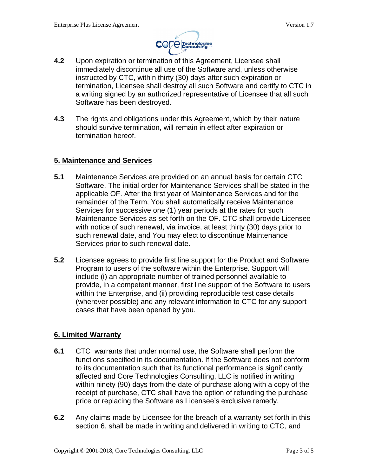

- **4.2** Upon expiration or termination of this Agreement, Licensee shall immediately discontinue all use of the Software and, unless otherwise instructed by CTC, within thirty (30) days after such expiration or termination, Licensee shall destroy all such Software and certify to CTC in a writing signed by an authorized representative of Licensee that all such Software has been destroyed.
- **4.3** The rights and obligations under this Agreement, which by their nature should survive termination, will remain in effect after expiration or termination hereof.

### **5. Maintenance and Services**

- **5.1** Maintenance Services are provided on an annual basis for certain CTC Software. The initial order for Maintenance Services shall be stated in the applicable OF. After the first year of Maintenance Services and for the remainder of the Term, You shall automatically receive Maintenance Services for successive one (1) year periods at the rates for such Maintenance Services as set forth on the OF. CTC shall provide Licensee with notice of such renewal, via invoice, at least thirty (30) days prior to such renewal date, and You may elect to discontinue Maintenance Services prior to such renewal date.
- **5.2** Licensee agrees to provide first line support for the Product and Software Program to users of the software within the Enterprise. Support will include (i) an appropriate number of trained personnel available to provide, in a competent manner, first line support of the Software to users within the Enterprise, and (ii) providing reproducible test case details (wherever possible) and any relevant information to CTC for any support cases that have been opened by you.

## **6. Limited Warranty**

- **6.1** CTC warrants that under normal use, the Software shall perform the functions specified in its documentation. If the Software does not conform to its documentation such that its functional performance is significantly affected and Core Technologies Consulting, LLC is notified in writing within ninety (90) days from the date of purchase along with a copy of the receipt of purchase, CTC shall have the option of refunding the purchase price or replacing the Software as Licensee's exclusive remedy.
- **6.2** Any claims made by Licensee for the breach of a warranty set forth in this section 6, shall be made in writing and delivered in writing to CTC, and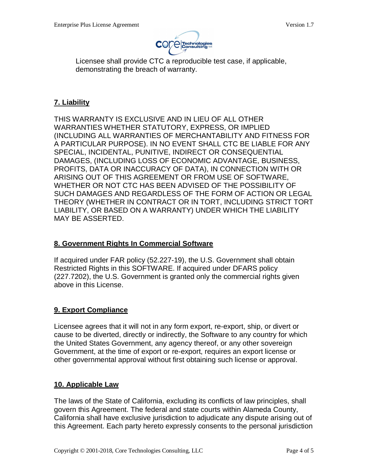

Licensee shall provide CTC a reproducible test case, if applicable, demonstrating the breach of warranty.

# **7. Liability**

THIS WARRANTY IS EXCLUSIVE AND IN LIEU OF ALL OTHER WARRANTIES WHETHER STATUTORY, EXPRESS, OR IMPLIED (INCLUDING ALL WARRANTIES OF MERCHANTABILITY AND FITNESS FOR A PARTICULAR PURPOSE). IN NO EVENT SHALL CTC BE LIABLE FOR ANY SPECIAL, INCIDENTAL, PUNITIVE, INDIRECT OR CONSEQUENTIAL DAMAGES, (INCLUDING LOSS OF ECONOMIC ADVANTAGE, BUSINESS, PROFITS, DATA OR INACCURACY OF DATA), IN CONNECTION WITH OR ARISING OUT OF THIS AGREEMENT OR FROM USE OF SOFTWARE, WHETHER OR NOT CTC HAS BEEN ADVISED OF THE POSSIBILITY OF SUCH DAMAGES AND REGARDLESS OF THE FORM OF ACTION OR LEGAL THEORY (WHETHER IN CONTRACT OR IN TORT, INCLUDING STRICT TORT LIABILITY, OR BASED ON A WARRANTY) UNDER WHICH THE LIABILITY MAY BE ASSERTED.

## **8. Government Rights In Commercial Software**

If acquired under FAR policy (52.227-19), the U.S. Government shall obtain Restricted Rights in this SOFTWARE. If acquired under DFARS policy (227.7202), the U.S. Government is granted only the commercial rights given above in this License.

## **9. Export Compliance**

Licensee agrees that it will not in any form export, re-export, ship, or divert or cause to be diverted, directly or indirectly, the Software to any country for which the United States Government, any agency thereof, or any other sovereign Government, at the time of export or re-export, requires an export license or other governmental approval without first obtaining such license or approval.

## **10. Applicable Law**

The laws of the State of California, excluding its conflicts of law principles, shall govern this Agreement. The federal and state courts within Alameda County, California shall have exclusive jurisdiction to adjudicate any dispute arising out of this Agreement. Each party hereto expressly consents to the personal jurisdiction